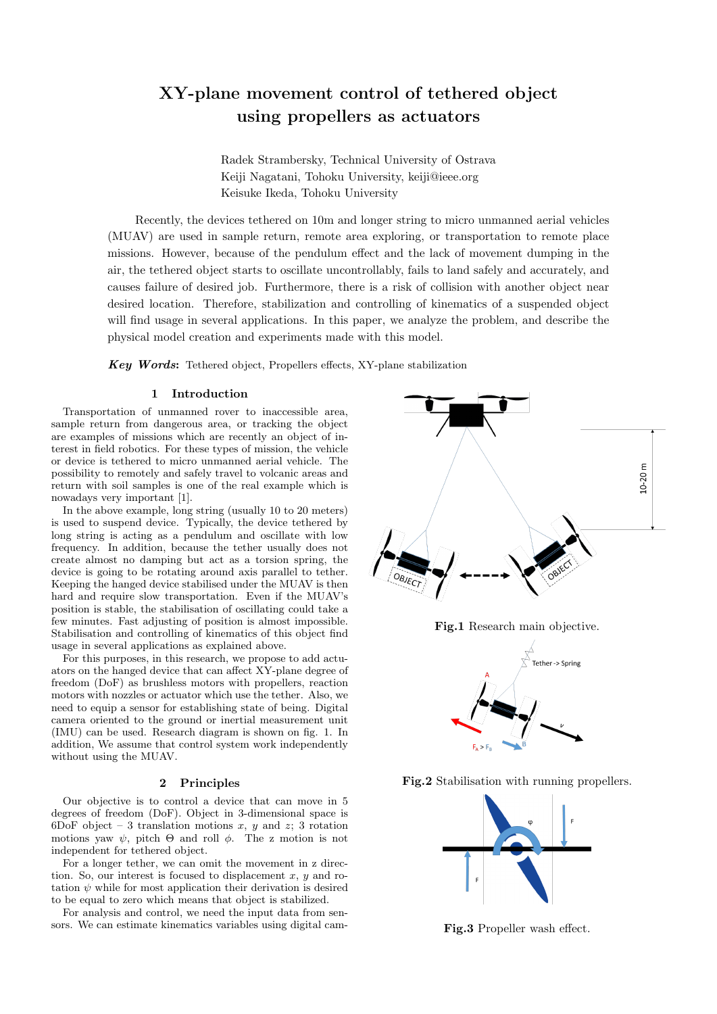# **XY-plane movement control of tethered object using propellers as actuators**

Radek Strambersky, Technical University of Ostrava Keiji Nagatani, Tohoku University, keiji@ieee.org Keisuke Ikeda, Tohoku University

Recently, the devices tethered on 10m and longer string to micro unmanned aerial vehicles (MUAV) are used in sample return, remote area exploring, or transportation to remote place missions. However, because of the pendulum effect and the lack of movement dumping in the air, the tethered object starts to oscillate uncontrollably, fails to land safely and accurately, and causes failure of desired job. Furthermore, there is a risk of collision with another object near desired location. Therefore, stabilization and controlling of kinematics of a suspended object will find usage in several applications. In this paper, we analyze the problem, and describe the physical model creation and experiments made with this model.

*Key Words***:** Tethered object, Propellers effects, XY-plane stabilization

### **1 Introduction**

Transportation of unmanned rover to inaccessible area, sample return from dangerous area, or tracking the object are examples of missions which are recently an object of interest in field robotics. For these types of mission, the vehicle or device is tethered to micro unmanned aerial vehicle. The possibility to remotely and safely travel to volcanic areas and return with soil samples is one of the real example which is nowadays very important [1].

In the above example, long string (usually 10 to 20 meters) is used to suspend device. Typically, the device tethered by long string is acting as a pendulum and oscillate with low frequency. In addition, because the tether usually does not create almost no damping but act as a torsion spring, the device is going to be rotating around axis parallel to tether. Keeping the hanged device stabilised under the MUAV is then hard and require slow transportation. Even if the MUAV's position is stable, the stabilisation of oscillating could take a few minutes. Fast adjusting of position is almost impossible. Stabilisation and controlling of kinematics of this object find usage in several applications as explained above.

For this purposes, in this research, we propose to add actuators on the hanged device that can affect XY-plane degree of freedom (DoF) as brushless motors with propellers, reaction motors with nozzles or actuator which use the tether. Also, we need to equip a sensor for establishing state of being. Digital camera oriented to the ground or inertial measurement unit (IMU) can be used. Research diagram is shown on fig. 1. In addition, We assume that control system work independently without using the MUAV.

## **2 Principles**

Our objective is to control a device that can move in 5 degrees of freedom (DoF). Object in 3-dimensional space is 6DoF object – 3 translation motions *x*, *y* and *z*; 3 rotation motions yaw  $\psi$ , pitch  $\Theta$  and roll  $\phi$ . The z motion is not independent for tethered object.

For a longer tether, we can omit the movement in z direction. So, our interest is focused to displacement *x*, *y* and rotation  $\psi$  while for most application their derivation is desired to be equal to zero which means that object is stabilized.

For analysis and control, we need the input data from sensors. We can estimate kinematics variables using digital cam-





**Fig.2** Stabilisation with running propellers.



**Fig.3** Propeller wash effect.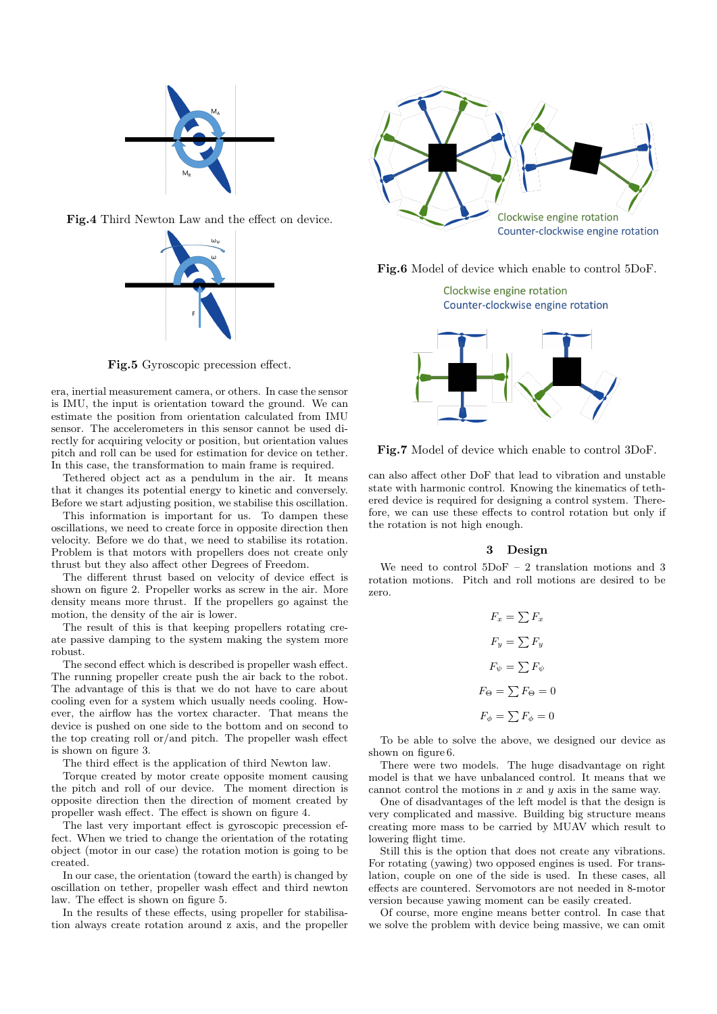

**Fig.4** Third Newton Law and the effect on device.



**Fig.5** Gyroscopic precession effect.

era, inertial measurement camera, or others. In case the sensor is IMU, the input is orientation toward the ground. We can estimate the position from orientation calculated from IMU sensor. The accelerometers in this sensor cannot be used directly for acquiring velocity or position, but orientation values pitch and roll can be used for estimation for device on tether. In this case, the transformation to main frame is required.

Tethered object act as a pendulum in the air. It means that it changes its potential energy to kinetic and conversely. Before we start adjusting position, we stabilise this oscillation.

This information is important for us. To dampen these oscillations, we need to create force in opposite direction then velocity. Before we do that, we need to stabilise its rotation. Problem is that motors with propellers does not create only thrust but they also affect other Degrees of Freedom.

The different thrust based on velocity of device effect is shown on figure 2. Propeller works as screw in the air. More density means more thrust. If the propellers go against the motion, the density of the air is lower.

The result of this is that keeping propellers rotating create passive damping to the system making the system more robust.

The second effect which is described is propeller wash effect. The running propeller create push the air back to the robot. The advantage of this is that we do not have to care about cooling even for a system which usually needs cooling. However, the airflow has the vortex character. That means the device is pushed on one side to the bottom and on second to the top creating roll or/and pitch. The propeller wash effect is shown on figure 3.

The third effect is the application of third Newton law.

Torque created by motor create opposite moment causing the pitch and roll of our device. The moment direction is opposite direction then the direction of moment created by propeller wash effect. The effect is shown on figure 4.

The last very important effect is gyroscopic precession effect. When we tried to change the orientation of the rotating object (motor in our case) the rotation motion is going to be created.

In our case, the orientation (toward the earth) is changed by oscillation on tether, propeller wash effect and third newton law. The effect is shown on figure 5.

In the results of these effects, using propeller for stabilisation always create rotation around z axis, and the propeller



**Fig.6** Model of device which enable to control 5DoF.

Clockwise engine rotation Counter-clockwise engine rotation



**Fig.7** Model of device which enable to control 3DoF.

can also affect other DoF that lead to vibration and unstable state with harmonic control. Knowing the kinematics of tethered device is required for designing a control system. Therefore, we can use these effects to control rotation but only if the rotation is not high enough.

# **3 Design**

We need to control 5DoF – 2 translation motions and 3 rotation motions. Pitch and roll motions are desired to be zero.

> $F_x = \sum F_x$  $F_y = \sum F_y$  $F_{\psi} = \sum F_{\psi}$  $F_{\Theta} = \sum F_{\Theta} = 0$  $F_{\phi} = \sum F_{\phi} = 0$

To be able to solve the above, we designed our device as shown on figure 6.

There were two models. The huge disadvantage on right model is that we have unbalanced control. It means that we cannot control the motions in *x* and *y* axis in the same way.

One of disadvantages of the left model is that the design is very complicated and massive. Building big structure means creating more mass to be carried by MUAV which result to lowering flight time.

Still this is the option that does not create any vibrations. For rotating (yawing) two opposed engines is used. For translation, couple on one of the side is used. In these cases, all effects are countered. Servomotors are not needed in 8-motor version because yawing moment can be easily created.

Of course, more engine means better control. In case that we solve the problem with device being massive, we can omit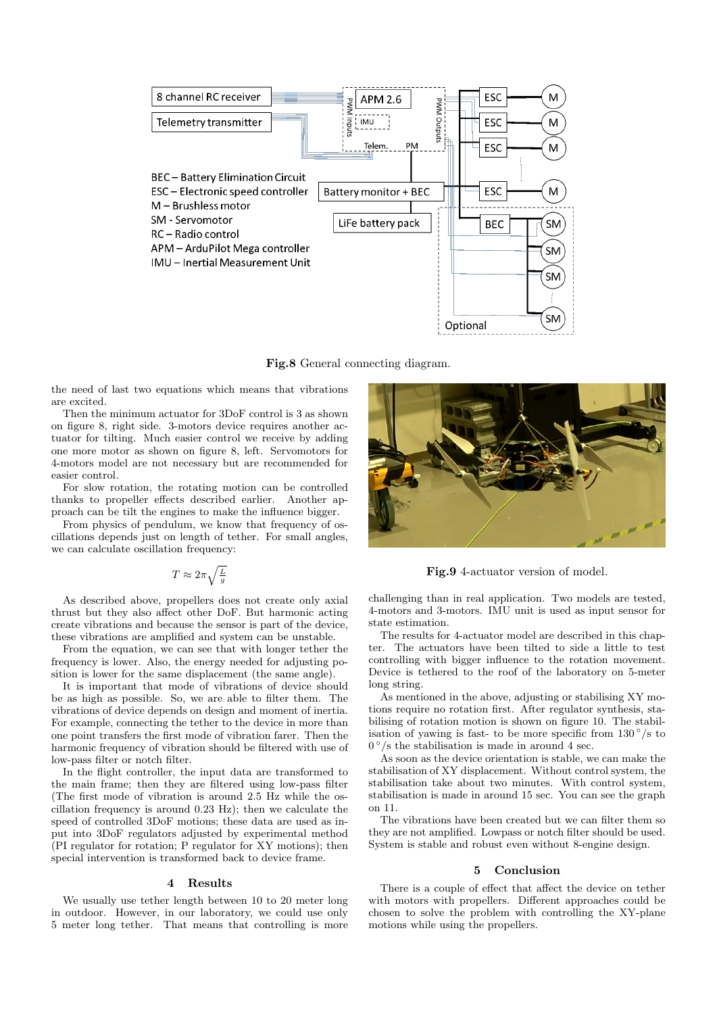

**Fig.8** General connecting diagram.

the need of last two equations which means that vibrations are excited.

Then the minimum actuator for 3DoF control is 3 as shown on figure 8, right side. 3-motors device requires another actuator for tilting. Much easier control we receive by adding one more motor as shown on figure 8, left. Servomotors for 4-motors model are not necessary but are recommended for easier control.

For slow rotation, the rotating motion can be controlled thanks to propeller effects described earlier. Another approach can be tilt the engines to make the influence bigger.

From physics of pendulum, we know that frequency of oscillations depends just on length of tether. For small angles, we can calculate oscillation frequency:

$$
T \approx 2\pi \sqrt{\tfrac{L}{g}}
$$

As described above, propellers does not create only axial thrust but they also affect other DoF. But harmonic acting create vibrations and because the sensor is part of the device, these vibrations are amplified and system can be unstable.

From the equation, we can see that with longer tether the frequency is lower. Also, the energy needed for adjusting position is lower for the same displacement (the same angle).

It is important that mode of vibrations of device should be as high as possible. So, we are able to filter them. The vibrations of device depends on design and moment of inertia. For example, connecting the tether to the device in more than one point transfers the first mode of vibration farer. Then the harmonic frequency of vibration should be filtered with use of low-pass filter or notch filter.

In the flight controller, the input data are transformed to the main frame; then they are filtered using low-pass filter (The first mode of vibration is around 2.5 Hz while the oscillation frequency is around 0.23 Hz); then we calculate the speed of controlled 3DoF motions; these data are used as input into 3DoF regulators adjusted by experimental method (PI regulator for rotation; P regulator for XY motions); then special intervention is transformed back to device frame.

#### **4 Results**

We usually use tether length between 10 to 20 meter long in outdoor. However, in our laboratory, we could use only 5 meter long tether. That means that controlling is more



**Fig.9** 4-actuator version of model.

challenging than in real application. Two models are tested, 4-motors and 3-motors. IMU unit is used as input sensor for state estimation.

The results for 4-actuator model are described in this chapter. The actuators have been tilted to side a little to test controlling with bigger influence to the rotation movement. Device is tethered to the roof of the laboratory on 5-meter long string.

As mentioned in the above, adjusting or stabilising XY motions require no rotation first. After regulator synthesis, stabilising of rotation motion is shown on figure 10. The stabilisation of yawing is fast- to be more specific from  $130^\circ$ /s to  $0^{\circ}/s$  the stabilisation is made in around 4 sec.

As soon as the device orientation is stable, we can make the stabilisation of XY displacement. Without control system, the stabilisation take about two minutes. With control system, stabilisation is made in around 15 sec. You can see the graph on 11.

The vibrations have been created but we can filter them so they are not amplified. Lowpass or notch filter should be used. System is stable and robust even without 8-engine design.

#### **5 Conclusion**

There is a couple of effect that affect the device on tether with motors with propellers. Different approaches could be chosen to solve the problem with controlling the XY-plane motions while using the propellers.